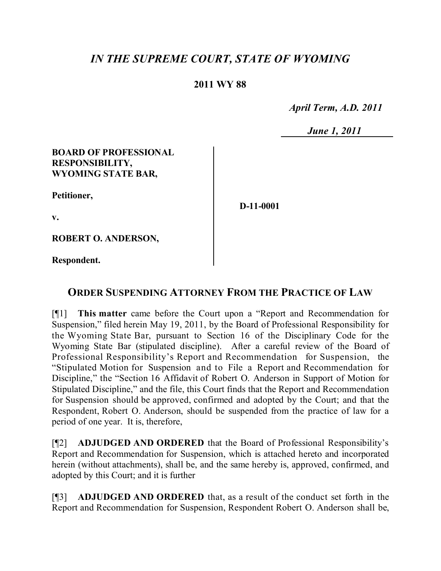# *IN THE SUPREME COURT, STATE OF WYOMING*

## **2011 WY 88**

 *April Term, A.D. 2011*

 *June 1, 2011*

#### **BOARD OF PROFESSIONAL RESPONSIBILITY, WYOMING STATE BAR,**

**Petitioner,**

**D-11-0001**

**v.**

**ROBERT O. ANDERSON,**

**Respondent.**

## **ORDER SUSPENDING ATTORNEY FROM THE PRACTICE OF LAW**

[¶1] **This matter** came before the Court upon a "Report and Recommendation for Suspension," filed herein May 19, 2011, by the Board of Professional Responsibility for the Wyoming State Bar, pursuant to Section 16 of the Disciplinary Code for the Wyoming State Bar (stipulated discipline). After a careful review of the Board of Professional Responsibility's Report and Recommendation for Suspension, the "Stipulated Motion for Suspension and to File a Report and Recommendation for Discipline," the "Section 16 Affidavit of Robert O. Anderson in Support of Motion for Stipulated Discipline," and the file, this Court finds that the Report and Recommendation for Suspension should be approved, confirmed and adopted by the Court; and that the Respondent, Robert O. Anderson, should be suspended from the practice of law for a period of one year. It is, therefore,

[¶2] **ADJUDGED AND ORDERED** that the Board of Professional Responsibility's Report and Recommendation for Suspension, which is attached hereto and incorporated herein (without attachments), shall be, and the same hereby is, approved, confirmed, and adopted by this Court; and it is further

[¶3] **ADJUDGED AND ORDERED** that, as a result of the conduct set forth in the Report and Recommendation for Suspension, Respondent Robert O. Anderson shall be,